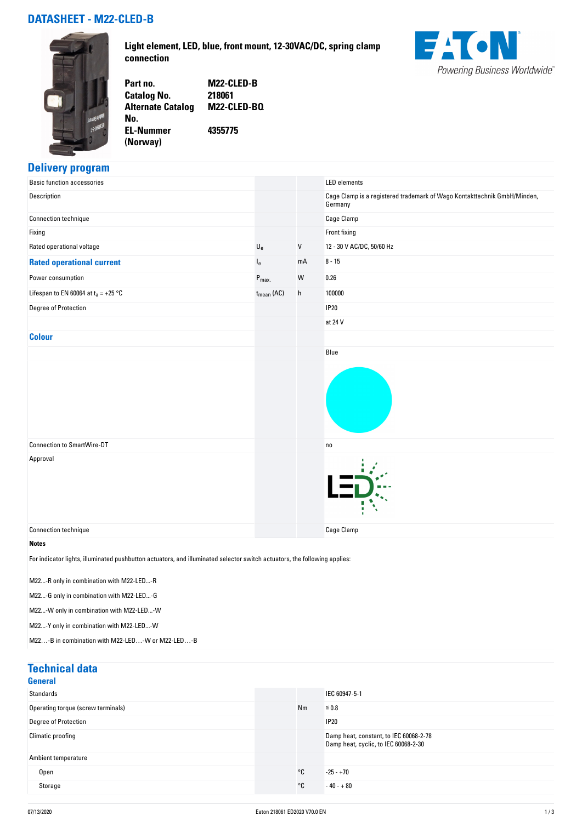# **DATASHEET - M22-CLED-B**



**Light element, LED, blue, front mount, 12-30VAC/DC, spring clamp connection**



**Part no. M22-CLED-B Catalog No. Alternate Catalog No. M22-CLED-BQ**

**EL-Nummer (Norway) 4355775**

## **Delivery program**

| <b>Basic function accessories</b>                                                                                         |                           |              | <b>LED</b> elements                                                                 |
|---------------------------------------------------------------------------------------------------------------------------|---------------------------|--------------|-------------------------------------------------------------------------------------|
| Description                                                                                                               |                           |              | Cage Clamp is a registered trademark of Wago Kontakttechnik GmbH/Minden,<br>Germany |
| Connection technique                                                                                                      |                           |              | Cage Clamp                                                                          |
| Fixing                                                                                                                    |                           |              | Front fixing                                                                        |
| Rated operational voltage                                                                                                 | $\mathsf{U}_{\mathsf{e}}$ | V            | 12 - 30 V AC/DC, 50/60 Hz                                                           |
| <b>Rated operational current</b>                                                                                          | le.                       | mA           | $8 - 15$                                                                            |
| Power consumption                                                                                                         | $P_{\text{max}}$          | W            | 0.26                                                                                |
| Lifespan to EN 60064 at $t_a = +25$ °C                                                                                    | $t_{\sf mean}$ (AC)       | $\mathsf{h}$ | 100000                                                                              |
| Degree of Protection                                                                                                      |                           |              | <b>IP20</b>                                                                         |
|                                                                                                                           |                           |              | at 24 V                                                                             |
| <b>Colour</b>                                                                                                             |                           |              |                                                                                     |
|                                                                                                                           |                           |              | Blue                                                                                |
|                                                                                                                           |                           |              |                                                                                     |
| <b>Connection to SmartWire-DT</b>                                                                                         |                           |              | no                                                                                  |
| Approval                                                                                                                  |                           |              |                                                                                     |
| Connection technique                                                                                                      |                           |              | <b>Cage Clamp</b>                                                                   |
| <b>Notes</b>                                                                                                              |                           |              |                                                                                     |
| For indicator lights, illuminated pushbutton actuators, and illuminated selector switch actuators, the following applies: |                           |              |                                                                                     |

M22...-R only in combination with M22-LED...-R

M22...-G only in combination with M22-LED...-G

M22...-W only in combination with M22-LED...-W

M22...-Y only in combination with M22-LED...-W

M22…-B in combination with M22-LED…-W or M22-LED…-B

| <b>Technical data</b><br><b>General</b> |    |                                                                                |
|-----------------------------------------|----|--------------------------------------------------------------------------------|
| Standards                               |    | IEC 60947-5-1                                                                  |
| Operating torque (screw terminals)      | Nm | $\leq 0.8$                                                                     |
| Degree of Protection                    |    | <b>IP20</b>                                                                    |
| Climatic proofing                       |    | Damp heat, constant, to IEC 60068-2-78<br>Damp heat, cyclic, to IEC 60068-2-30 |
| Ambient temperature                     |    |                                                                                |
| Open                                    | °C | $-25 - +70$                                                                    |
| Storage                                 | °C | $-40 - +80$                                                                    |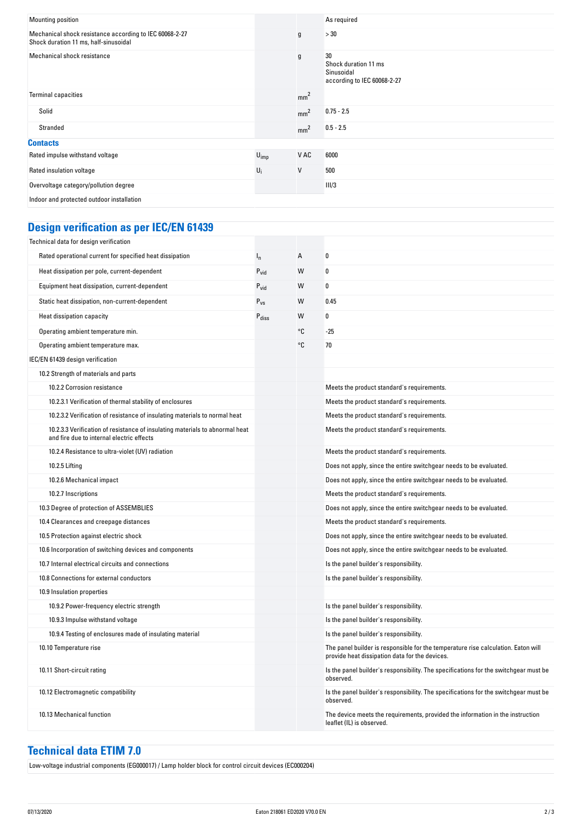| Mounting position                                                                                |           |                 | As required                                                             |
|--------------------------------------------------------------------------------------------------|-----------|-----------------|-------------------------------------------------------------------------|
| Mechanical shock resistance according to IEC 60068-2-27<br>Shock duration 11 ms, half-sinusoidal |           | g               | >30                                                                     |
| Mechanical shock resistance                                                                      |           | $\mathfrak g$   | 30<br>Shock duration 11 ms<br>Sinusoidal<br>according to IEC 60068-2-27 |
| <b>Terminal capacities</b>                                                                       |           | mm <sup>2</sup> |                                                                         |
| Solid                                                                                            |           | mm <sup>2</sup> | $0.75 - 2.5$                                                            |
| Stranded                                                                                         |           | mm <sup>2</sup> | $0.5 - 2.5$                                                             |
| <b>Contacts</b>                                                                                  |           |                 |                                                                         |
| Rated impulse withstand voltage                                                                  | $U_{imp}$ | V AC            | 6000                                                                    |
| Rated insulation voltage                                                                         | $U_i$     | V               | 500                                                                     |
| Overvoltage category/pollution degree                                                            |           |                 | III/3                                                                   |
| Indoor and protected outdoor installation                                                        |           |                 |                                                                         |

# **Design verification as per IEC/EN 61439**

| Technical data for design verification                                                                                    |                   |    |                                                                                                                                     |
|---------------------------------------------------------------------------------------------------------------------------|-------------------|----|-------------------------------------------------------------------------------------------------------------------------------------|
| Rated operational current for specified heat dissipation                                                                  | $I_{n}$           | А  | 0                                                                                                                                   |
| Heat dissipation per pole, current-dependent                                                                              | $P_{\text{vid}}$  | W  | 0                                                                                                                                   |
| Equipment heat dissipation, current-dependent                                                                             | $P_{\text{vid}}$  | W  | 0                                                                                                                                   |
| Static heat dissipation, non-current-dependent                                                                            | $P_{VS}$          | W  | 0.45                                                                                                                                |
| Heat dissipation capacity                                                                                                 | $P_{\text{diss}}$ | W  | 0                                                                                                                                   |
| Operating ambient temperature min.                                                                                        |                   | °C | $-25$                                                                                                                               |
| Operating ambient temperature max.                                                                                        |                   | °C | 70                                                                                                                                  |
| IEC/EN 61439 design verification                                                                                          |                   |    |                                                                                                                                     |
| 10.2 Strength of materials and parts                                                                                      |                   |    |                                                                                                                                     |
| 10.2.2 Corrosion resistance                                                                                               |                   |    | Meets the product standard's requirements.                                                                                          |
| 10.2.3.1 Verification of thermal stability of enclosures                                                                  |                   |    | Meets the product standard's requirements.                                                                                          |
| 10.2.3.2 Verification of resistance of insulating materials to normal heat                                                |                   |    | Meets the product standard's requirements.                                                                                          |
| 10.2.3.3 Verification of resistance of insulating materials to abnormal heat<br>and fire due to internal electric effects |                   |    | Meets the product standard's requirements.                                                                                          |
| 10.2.4 Resistance to ultra-violet (UV) radiation                                                                          |                   |    | Meets the product standard's requirements.                                                                                          |
| 10.2.5 Lifting                                                                                                            |                   |    | Does not apply, since the entire switchgear needs to be evaluated.                                                                  |
| 10.2.6 Mechanical impact                                                                                                  |                   |    | Does not apply, since the entire switchgear needs to be evaluated.                                                                  |
| 10.2.7 Inscriptions                                                                                                       |                   |    | Meets the product standard's requirements.                                                                                          |
| 10.3 Degree of protection of ASSEMBLIES                                                                                   |                   |    | Does not apply, since the entire switchgear needs to be evaluated.                                                                  |
| 10.4 Clearances and creepage distances                                                                                    |                   |    | Meets the product standard's requirements.                                                                                          |
| 10.5 Protection against electric shock                                                                                    |                   |    | Does not apply, since the entire switchgear needs to be evaluated.                                                                  |
| 10.6 Incorporation of switching devices and components                                                                    |                   |    | Does not apply, since the entire switchgear needs to be evaluated.                                                                  |
| 10.7 Internal electrical circuits and connections                                                                         |                   |    | Is the panel builder's responsibility.                                                                                              |
| 10.8 Connections for external conductors                                                                                  |                   |    | Is the panel builder's responsibility.                                                                                              |
| 10.9 Insulation properties                                                                                                |                   |    |                                                                                                                                     |
| 10.9.2 Power-frequency electric strength                                                                                  |                   |    | Is the panel builder's responsibility.                                                                                              |
| 10.9.3 Impulse withstand voltage                                                                                          |                   |    | Is the panel builder's responsibility.                                                                                              |
| 10.9.4 Testing of enclosures made of insulating material                                                                  |                   |    | Is the panel builder's responsibility.                                                                                              |
| 10.10 Temperature rise                                                                                                    |                   |    | The panel builder is responsible for the temperature rise calculation. Eaton will<br>provide heat dissipation data for the devices. |
| 10.11 Short-circuit rating                                                                                                |                   |    | Is the panel builder's responsibility. The specifications for the switchgear must be<br>observed.                                   |
| 10.12 Electromagnetic compatibility                                                                                       |                   |    | Is the panel builder's responsibility. The specifications for the switchgear must be<br>observed.                                   |
| 10.13 Mechanical function                                                                                                 |                   |    | The device meets the requirements, provided the information in the instruction<br>leaflet (IL) is observed.                         |

# **Technical data ETIM 7.0**

Low-voltage industrial components (EG000017) / Lamp holder block for control circuit devices (EC000204)